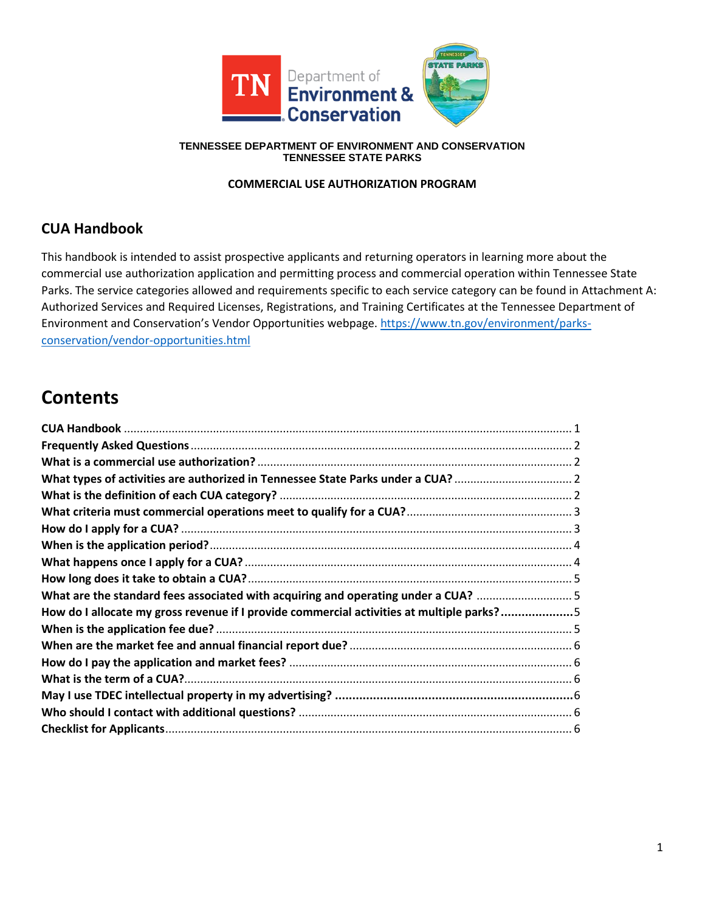

#### **TENNESSEE DEPARTMENT OF ENVIRONMENT AND CONSERVATION TENNESSEE STATE PARKS**

# **COMMERCIAL USE AUTHORIZATION PROGRAM**

# **CUA Handbook**

This handbook is intended to assist prospective applicants and returning operators in learning more about the commercial use authorization application and permitting process and commercial operation within Tennessee State Parks. The service categories allowed and requirements specific to each service category can be found in Attachment A: Authorized Services and Required Licenses, Registrations, and Training Certificates at the Tennessee Department of Environment and Conservation's Vendor Opportunities webpage[. https://www.tn.gov/environment/parks](https://www.tn.gov/environment/parks-conservation/vendor-opportunities.html)[conservation/vendor-opportunities.html](https://www.tn.gov/environment/parks-conservation/vendor-opportunities.html)

# **Contents**

| What are the standard fees associated with acquiring and operating under a CUA? 5         |  |
|-------------------------------------------------------------------------------------------|--|
| How do I allocate my gross revenue if I provide commercial activities at multiple parks?5 |  |
|                                                                                           |  |
|                                                                                           |  |
|                                                                                           |  |
|                                                                                           |  |
|                                                                                           |  |
|                                                                                           |  |
|                                                                                           |  |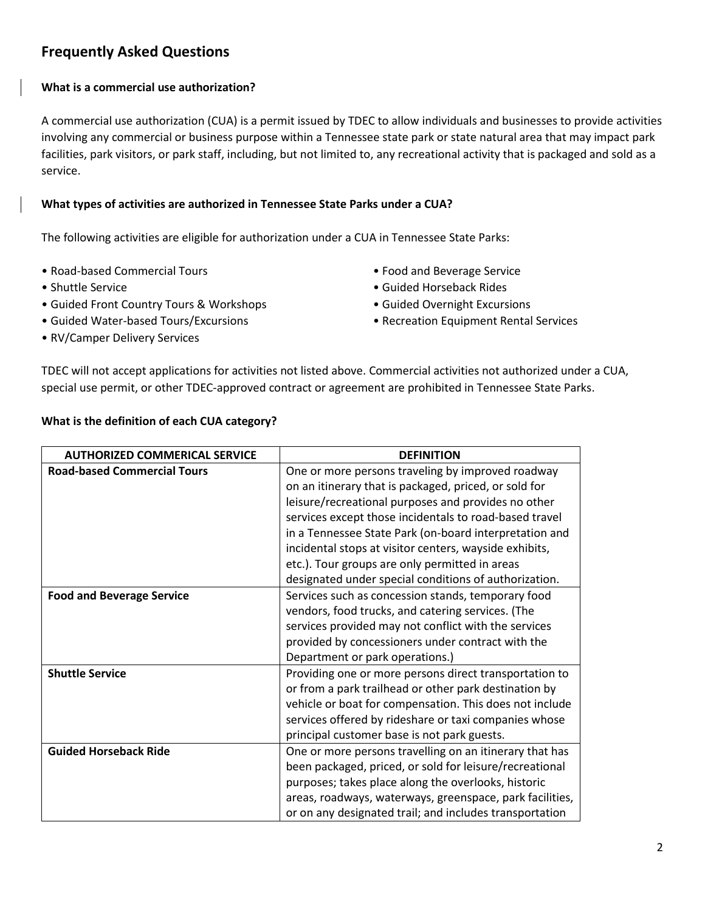# **Frequently Asked Questions**

# **What is a commercial use authorization?**

A commercial use authorization (CUA) is a permit issued by TDEC to allow individuals and businesses to provide activities involving any commercial or business purpose within a Tennessee state park or state natural area that may impact park facilities, park visitors, or park staff, including, but not limited to, any recreational activity that is packaged and sold as a service.

#### **What types of activities are authorized in Tennessee State Parks under a CUA?**

The following activities are eligible for authorization under a CUA in Tennessee State Parks:

- Road-based Commercial Tours Food and Beverage Service
- 
- Guided Front Country Tours & Workshops Guided Overnight Excursions
- 
- RV/Camper Delivery Services
- 
- Shuttle Service Guided Horseback Rides
	-
- Guided Water-based Tours/Excursions Recreation Equipment Rental Services

TDEC will not accept applications for activities not listed above. Commercial activities not authorized under a CUA, special use permit, or other TDEC-approved contract or agreement are prohibited in Tennessee State Parks.

# **What is the definition of each CUA category?**

| <b>AUTHORIZED COMMERICAL SERVICE</b> | <b>DEFINITION</b>                                                                                                                                                                                                                                                                                                                                                                                                                                          |
|--------------------------------------|------------------------------------------------------------------------------------------------------------------------------------------------------------------------------------------------------------------------------------------------------------------------------------------------------------------------------------------------------------------------------------------------------------------------------------------------------------|
| <b>Road-based Commercial Tours</b>   | One or more persons traveling by improved roadway<br>on an itinerary that is packaged, priced, or sold for<br>leisure/recreational purposes and provides no other<br>services except those incidentals to road-based travel<br>in a Tennessee State Park (on-board interpretation and<br>incidental stops at visitor centers, wayside exhibits,<br>etc.). Tour groups are only permitted in areas<br>designated under special conditions of authorization. |
| <b>Food and Beverage Service</b>     | Services such as concession stands, temporary food<br>vendors, food trucks, and catering services. (The<br>services provided may not conflict with the services<br>provided by concessioners under contract with the<br>Department or park operations.)                                                                                                                                                                                                    |
| <b>Shuttle Service</b>               | Providing one or more persons direct transportation to<br>or from a park trailhead or other park destination by<br>vehicle or boat for compensation. This does not include<br>services offered by rideshare or taxi companies whose<br>principal customer base is not park guests.                                                                                                                                                                         |
| <b>Guided Horseback Ride</b>         | One or more persons travelling on an itinerary that has<br>been packaged, priced, or sold for leisure/recreational<br>purposes; takes place along the overlooks, historic<br>areas, roadways, waterways, greenspace, park facilities,<br>or on any designated trail; and includes transportation                                                                                                                                                           |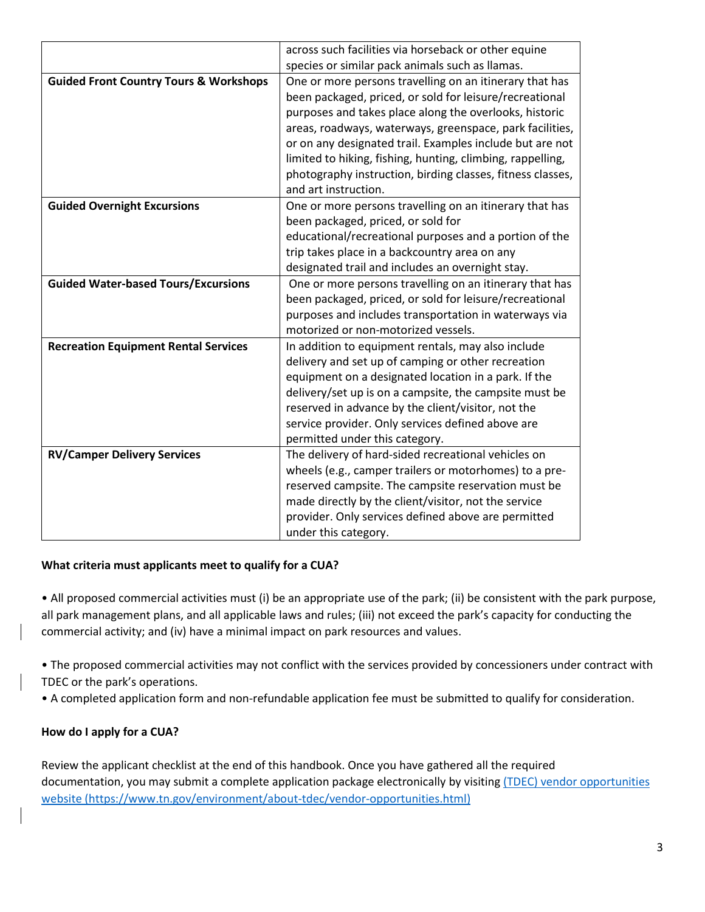|                                                   | across such facilities via horseback or other equine       |
|---------------------------------------------------|------------------------------------------------------------|
|                                                   | species or similar pack animals such as llamas.            |
| <b>Guided Front Country Tours &amp; Workshops</b> | One or more persons travelling on an itinerary that has    |
|                                                   | been packaged, priced, or sold for leisure/recreational    |
|                                                   | purposes and takes place along the overlooks, historic     |
|                                                   | areas, roadways, waterways, greenspace, park facilities,   |
|                                                   | or on any designated trail. Examples include but are not   |
|                                                   | limited to hiking, fishing, hunting, climbing, rappelling, |
|                                                   | photography instruction, birding classes, fitness classes, |
|                                                   | and art instruction.                                       |
| <b>Guided Overnight Excursions</b>                | One or more persons travelling on an itinerary that has    |
|                                                   | been packaged, priced, or sold for                         |
|                                                   | educational/recreational purposes and a portion of the     |
|                                                   | trip takes place in a backcountry area on any              |
|                                                   | designated trail and includes an overnight stay.           |
| <b>Guided Water-based Tours/Excursions</b>        | One or more persons travelling on an itinerary that has    |
|                                                   | been packaged, priced, or sold for leisure/recreational    |
|                                                   | purposes and includes transportation in waterways via      |
|                                                   | motorized or non-motorized vessels.                        |
| <b>Recreation Equipment Rental Services</b>       | In addition to equipment rentals, may also include         |
|                                                   | delivery and set up of camping or other recreation         |
|                                                   | equipment on a designated location in a park. If the       |
|                                                   | delivery/set up is on a campsite, the campsite must be     |
|                                                   | reserved in advance by the client/visitor, not the         |
|                                                   | service provider. Only services defined above are          |
|                                                   | permitted under this category.                             |
| <b>RV/Camper Delivery Services</b>                | The delivery of hard-sided recreational vehicles on        |
|                                                   | wheels (e.g., camper trailers or motorhomes) to a pre-     |
|                                                   | reserved campsite. The campsite reservation must be        |
|                                                   | made directly by the client/visitor, not the service       |
|                                                   | provider. Only services defined above are permitted        |
|                                                   | under this category.                                       |

# **What criteria must applicants meet to qualify for a CUA?**

• All proposed commercial activities must (i) be an appropriate use of the park; (ii) be consistent with the park purpose, all park management plans, and all applicable laws and rules; (iii) not exceed the park's capacity for conducting the commercial activity; and (iv) have a minimal impact on park resources and values.

• The proposed commercial activities may not conflict with the services provided by concessioners under contract with TDEC or the park's operations.

• A completed application form and non-refundable application fee must be submitted to qualify for consideration.

# **How do I apply for a CUA?**

Review the applicant checklist at the end of this handbook. Once you have gathered all the required documentation, you may submit a complete application package electronically by visiting (TDEC) vendor opportunities [website \(https://www.tn.gov/environment/about-tdec/vendor-opportunities.html\)](https://www.tn.gov/environment/about-tdec/vendor-opportunities.html)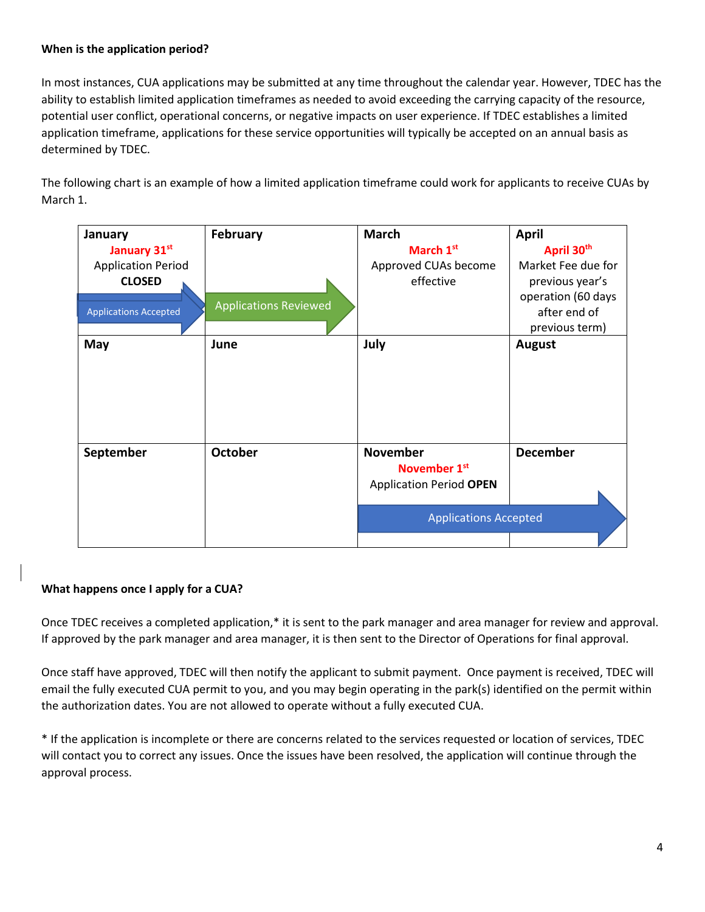# **When is the application period?**

In most instances, CUA applications may be submitted at any time throughout the calendar year. However, TDEC has the ability to establish limited application timeframes as needed to avoid exceeding the carrying capacity of the resource, potential user conflict, operational concerns, or negative impacts on user experience. If TDEC establishes a limited application timeframe, applications for these service opportunities will typically be accepted on an annual basis as determined by TDEC.

The following chart is an example of how a limited application timeframe could work for applicants to receive CUAs by March 1.

| January                      | February                     | <b>March</b>                   | <b>April</b>       |
|------------------------------|------------------------------|--------------------------------|--------------------|
| January 31st                 |                              | March 1 <sup>st</sup>          | April 30th         |
| <b>Application Period</b>    |                              | Approved CUAs become           | Market Fee due for |
| <b>CLOSED</b>                |                              | effective                      | previous year's    |
|                              |                              |                                | operation (60 days |
| <b>Applications Accepted</b> | <b>Applications Reviewed</b> |                                | after end of       |
|                              |                              |                                | previous term)     |
| May                          | June                         | July                           | August             |
|                              |                              |                                |                    |
|                              |                              |                                |                    |
|                              |                              |                                |                    |
|                              |                              |                                |                    |
|                              |                              |                                |                    |
|                              |                              |                                |                    |
| September                    | <b>October</b>               | <b>November</b>                | <b>December</b>    |
|                              |                              | November 1st                   |                    |
|                              |                              | <b>Application Period OPEN</b> |                    |
|                              |                              |                                |                    |
|                              |                              | <b>Applications Accepted</b>   |                    |
|                              |                              |                                |                    |

# **What happens once I apply for a CUA?**

Once TDEC receives a completed application,\* it is sent to the park manager and area manager for review and approval. If approved by the park manager and area manager, it is then sent to the Director of Operations for final approval.

Once staff have approved, TDEC will then notify the applicant to submit payment. Once payment is received, TDEC will email the fully executed CUA permit to you, and you may begin operating in the park(s) identified on the permit within the authorization dates. You are not allowed to operate without a fully executed CUA.

\* If the application is incomplete or there are concerns related to the services requested or location of services, TDEC will contact you to correct any issues. Once the issues have been resolved, the application will continue through the approval process.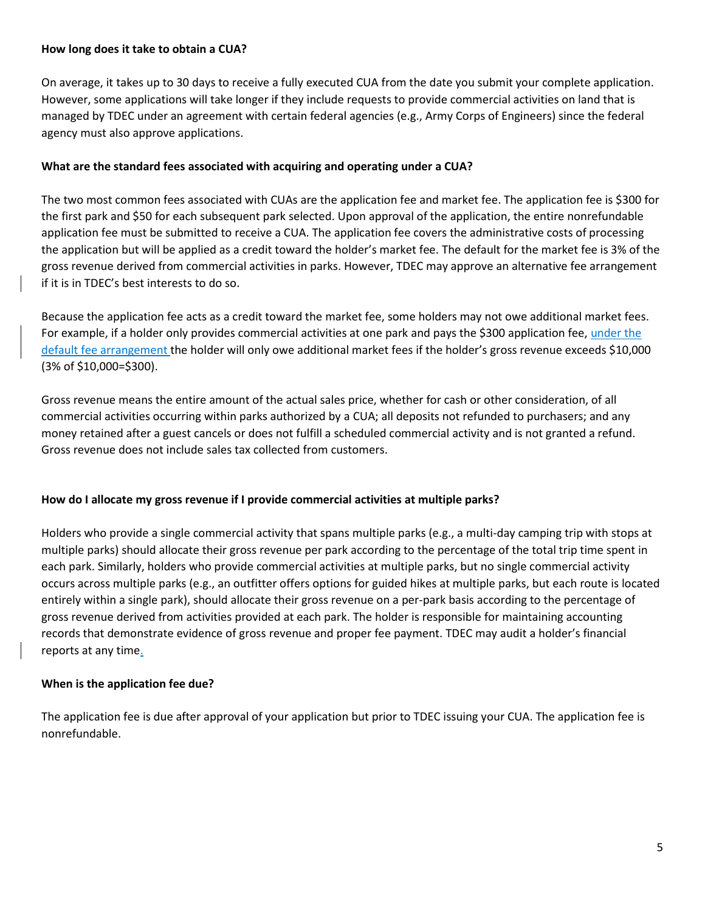#### **How long does it take to obtain a CUA?**

On average, it takes up to 30 days to receive a fully executed CUA from the date you submit your complete application. However, some applications will take longer if they include requests to provide commercial activities on land that is managed by TDEC under an agreement with certain federal agencies (e.g., Army Corps of Engineers) since the federal agency must also approve applications.

# **What are the standard fees associated with acquiring and operating under a CUA?**

The two most common fees associated with CUAs are the application fee and market fee. The application fee is \$300 for the first park and \$50 for each subsequent park selected. Upon approval of the application, the entire nonrefundable application fee must be submitted to receive a CUA. The application fee covers the administrative costs of processing the application but will be applied as a credit toward the holder's market fee. The default for the market fee is 3% of the gross revenue derived from commercial activities in parks. However, TDEC may approve an alternative fee arrangement if it is in TDEC's best interests to do so.

Because the application fee acts as a credit toward the market fee, some holders may not owe additional market fees. For example, if a holder only provides commercial activities at one park and pays the \$300 application fee, under the default fee arrangement the holder will only owe additional market fees if the holder's gross revenue exceeds \$10,000 (3% of \$10,000=\$300).

Gross revenue means the entire amount of the actual sales price, whether for cash or other consideration, of all commercial activities occurring within parks authorized by a CUA; all deposits not refunded to purchasers; and any money retained after a guest cancels or does not fulfill a scheduled commercial activity and is not granted a refund. Gross revenue does not include sales tax collected from customers.

# **How do I allocate my gross revenue if I provide commercial activities at multiple parks?**

Holders who provide a single commercial activity that spans multiple parks (e.g., a multi-day camping trip with stops at multiple parks) should allocate their gross revenue per park according to the percentage of the total trip time spent in each park. Similarly, holders who provide commercial activities at multiple parks, but no single commercial activity occurs across multiple parks (e.g., an outfitter offers options for guided hikes at multiple parks, but each route is located entirely within a single park), should allocate their gross revenue on a per-park basis according to the percentage of gross revenue derived from activities provided at each park. The holder is responsible for maintaining accounting records that demonstrate evidence of gross revenue and proper fee payment. TDEC may audit a holder's financial reports at any time.

# **When is the application fee due?**

The application fee is due after approval of your application but prior to TDEC issuing your CUA. The application fee is nonrefundable.